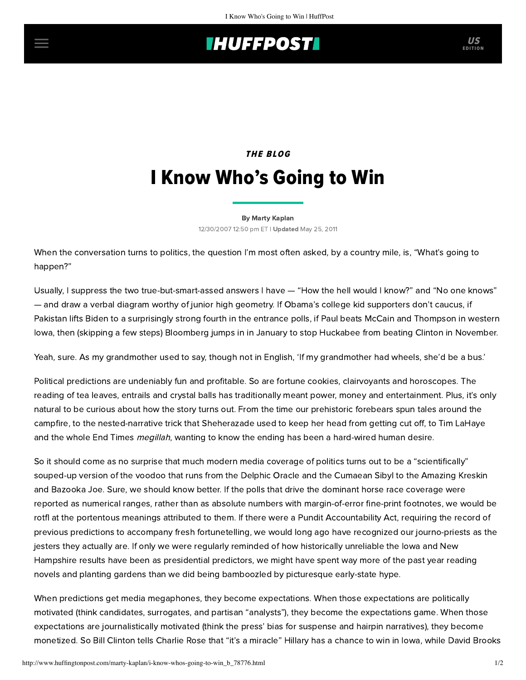## **INUFFPOSTI** US

# THE BLOG I Know Who's Going to Win

#### [By Marty Kaplan](http://www.huffingtonpost.com/author/marty-kaplan)

12/30/2007 12:50 pm ET | Updated May 25, 2011

When the conversation turns to politics, the question I'm most often asked, by a country mile, is, "What's going to happen?"

Usually, I suppress the two true-but-smart-assed answers I have — "How the hell would I know?" and "No one knows" — and draw a verbal diagram worthy of junior high geometry. If Obama's college kid supporters don't caucus, if Pakistan lifts Biden to a surprisingly strong fourth in the entrance polls, if Paul beats McCain and Thompson in western Iowa, then (skipping a few steps) Bloomberg jumps in in January to stop Huckabee from beating Clinton in November.

Yeah, sure. As my grandmother used to say, though not in English, 'If my grandmother had wheels, she'd be a bus.'

Political predictions are undeniably fun and profitable. So are fortune cookies, clairvoyants and horoscopes. The reading of tea leaves, entrails and crystal balls has traditionally meant power, money and entertainment. Plus, it's only natural to be curious about how the story turns out. From the time our prehistoric forebears spun tales around the campfire, to the nested-narrative trick that Sheherazade used to keep her head from getting cut off, to Tim LaHaye and the whole End Times *megillah*, wanting to know the ending has been a hard-wired human desire.

So it should come as no surprise that much modern media coverage of politics turns out to be a "scientifically" souped-up version of the voodoo that runs from the Delphic Oracle and the Cumaean Sibyl to the Amazing Kreskin and Bazooka Joe. Sure, we should know better. If the polls that drive the dominant horse race coverage were reported as numerical ranges, rather than as absolute numbers with margin-of-error fine-print footnotes, we would be rotfl at the portentous meanings attributed to them. If there were a Pundit Accountability Act, requiring the record of previous predictions to accompany fresh fortunetelling, we would long ago have recognized our journo-priests as the jesters they actually are. If only we were regularly reminded of how historically unreliable the Iowa and New Hampshire results have been as presidential predictors, we might have spent way more of the past year reading novels and planting gardens than we did being bamboozled by picturesque early-state hype.

When predictions get media megaphones, they become expectations. When those expectations are politically motivated (think candidates, surrogates, and partisan "analysts"), they become the expectations game. When those expectations are journalistically motivated (think the press' bias for suspense and hairpin narratives), they become monetized. So Bill Clinton tells [Charlie Rose](http://www.charlierose.com/shows/2007/12/14/1/an-hour-with-former-president-bill-clinton) that "it's a miracle" Hillary has a chance to win in Iowa, while [David Brooks](http://www.pbs.org/newshour/bb/politics/july-dec07/sbpolls_12-28.html)